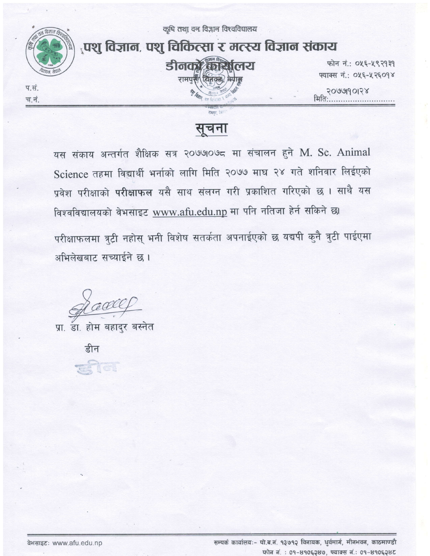

सूचना

यस संकाय अन्तर्गत शैक्षिक सत्र २०७७०७८ मा संचालन हुने M. Sc. Animal Science तहमा विद्यार्थी भर्नाको लागि मिति २०७७ माघ २४ गते शनिवार लिईएको प्रवेश परीक्षाको परीक्षाफल यसै साथ संलग्न गरी प्रकाशित गरिएको छ। साथै यस विश्वविद्यालयको वेभसाइट www.afu.edu.np मा पनि नतिजा हेर्न सकिने छ। परीक्षाफलमा त्रुट्टी नहोस् भनी विशेष सतर्कता अपनाईएको छ यद्यपी कुनै त्रुटी पाईएमा अभिलेखबाट सच्याईने छ।

A CeCell

प्रा. डा. होम बहादुर बस्नेत

C.

डीन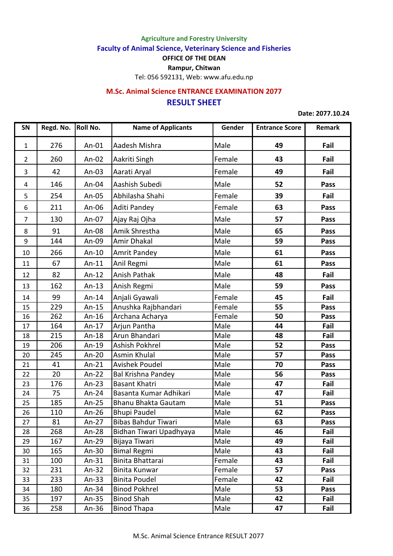**Agriculture and Forestry University**

**Faculty of Animal Science, Veterinary Science and Fisheries**

**OFFICE OF THE DEAN**

**Rampur, Chitwan**

Tel: 056 592131, Web: www.afu.edu.np

## **RESULT SHEET M.Sc. Animal Science ENTRANCE EXAMINATION 2077**

**Date: 2077.10.24**

| SN             | Regd. No. Roll No. |          | <b>Name of Applicants</b> | Gender | <b>Entrance Score</b> | Remark |
|----------------|--------------------|----------|---------------------------|--------|-----------------------|--------|
| $\mathbf{1}$   | 276                | An-01    | Aadesh Mishra             | Male   | 49                    | Fail   |
| $\overline{2}$ | 260                | An- $02$ | Aakriti Singh             | Female | 43                    | Fail   |
| 3              | 42                 | An- $03$ | Aarati Aryal              | Female | 49                    | Fail   |
| 4              | 146                | An-04    | Aashish Subedi            | Male   | 52                    | Pass   |
| 5              | 254                | An- $05$ | Abhilasha Shahi           | Female | 39                    | Fail   |
| 6              | 211                | An-06    | Aditi Pandey              | Female | 63                    | Pass   |
| $\overline{7}$ | 130                | An-07    | Ajay Raj Ojha             | Male   | 57                    | Pass   |
| 8              | 91                 | An-08    | Amik Shrestha             | Male   | 65                    | Pass   |
| 9              | 144                | An-09    | Amir Dhakal               | Male   | 59                    | Pass   |
| 10             | 266                | An- $10$ | <b>Amrit Pandey</b>       | Male   | 61                    | Pass   |
| 11             | 67                 | $An-11$  | Anil Regmi                | Male   | 61                    | Pass   |
| 12             | 82                 | An- $12$ | Anish Pathak              | Male   | 48                    | Fail   |
| 13             | 162                | An- $13$ | Anish Regmi               | Male   | 59                    | Pass   |
| 14             | 99                 | An- $14$ | Anjali Gyawali            | Female | 45                    | Fail   |
| 15             | 229                | An- $15$ | Anushka Rajbhandari       | Female | 55                    | Pass   |
| 16             | 262                | An- $16$ | Archana Acharya           | Female | 50                    | Pass   |
| 17             | 164                | An- $17$ | Arjun Pantha              | Male   | 44                    | Fail   |
| 18             | 215                | An- $18$ | Arun Bhandari             | Male   | 48                    | Fail   |
| 19             | 206                | An-19    | Ashish Pokhrel            | Male   | 52                    | Pass   |
| 20             | 245                | An- $20$ | Asmin Khulal              | Male   | 57                    | Pass   |
| 21             | 41                 | $An-21$  | Avishek Poudel            | Male   | 70                    | Pass   |
| 22             | 20                 | An- $22$ | <b>Bal Krishna Pandey</b> | Male   | 56                    | Pass   |
| 23             | 176                | An- $23$ | <b>Basant Khatri</b>      | Male   | 47                    | Fail   |
| 24             | 75                 | An- $24$ | Basanta Kumar Adhikari    | Male   | 47                    | Fail   |
| 25             | 185                | An- $25$ | Bhanu Bhakta Gautam       | Male   | 51                    | Pass   |
| 26             | 110                | An- $26$ | <b>Bhupi Paudel</b>       | Male   | 62                    | Pass   |
| 27             | 81                 | An-27    | Bibas Bahdur Tiwari       | Male   | 63                    | Pass   |
| 28             | 268                | An- $28$ | Bidhan Tiwari Upadhyaya   | Male   | 46                    | Fail   |
| 29             | 167                | An- $29$ | Bijaya Tiwari             | Male   | 49                    | Fail   |
| 30             | 165                | An- $30$ | <b>Bimal Regmi</b>        | Male   | 43                    | Fail   |
| 31             | 100                | An- $31$ | Binita Bhattarai          | Female | 43                    | Fail   |
| 32             | 231                | An- $32$ | Binita Kunwar             | Female | 57                    | Pass   |
| 33             | 233                | An- $33$ | <b>Binita Poudel</b>      | Female | 42                    | Fail   |
| 34             | 180                | An- $34$ | <b>Binod Pokhrel</b>      | Male   | 53                    | Pass   |
| 35             | 197                | An- $35$ | <b>Binod Shah</b>         | Male   | 42                    | Fail   |
| 36             | 258                | An- $36$ | <b>Binod Thapa</b>        | Male   | 47                    | Fail   |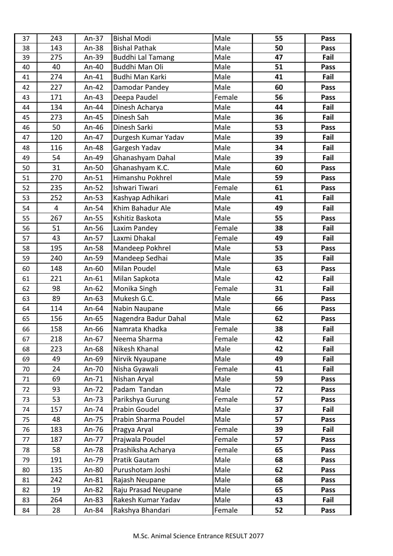| <b>Bishal Pathak</b><br>Male<br>143<br>50<br>An- $38$<br>Pass<br>38<br>Fail<br>275<br>An-39<br><b>Buddhi Lal Tamang</b><br>Male<br>47<br>39<br>40<br>Buddhi Man Oli<br>Male<br>51<br>An-40<br>40<br>Pass<br>274<br>Budhi Man Karki<br>Male<br>41<br>Fail<br>An-41<br>41<br>Male<br>227<br>Damodar Pandey<br>60<br>An-42<br>Pass<br>42<br>Deepa Paudel<br>Female<br>171<br>An- $43$<br>56<br>43<br>Pass<br>Male<br>134<br>44<br>Fail<br>An-44<br>Dinesh Acharya<br>44<br>Dinesh Sah<br>Male<br>273<br>36<br>Fail<br>45<br>An-45<br>Male<br>50<br>Dinesh Sarki<br>53<br>An-46<br>46<br>Pass<br>120<br>Male<br>39<br>Fail<br>An-47<br>Durgesh Kumar Yadav<br>47<br>116<br>Gargesh Yadav<br>Male<br>Fail<br>An-48<br>34<br>48<br>Ghanashyam Dahal<br>54<br>An-49<br>Male<br>39<br>Fail<br>49<br>Male<br>31<br>Ghanashyam K.C.<br>An-50<br>60<br>50<br>Pass<br>270<br>Himanshu Pokhrel<br>59<br>An-51<br>Male<br>51<br>Pass<br>235<br>Ishwari Tiwari<br>Female<br>61<br>An-52<br>Pass<br>52<br>252<br>An- $53$<br>Kashyap Adhikari<br>Male<br>Fail<br>41<br>53<br>Khim Bahadur Ale<br>Male<br>49<br>Fail<br>4<br>An-54<br>54<br>267<br>Male<br>55<br>An-55<br>Kshitiz Baskota<br>Pass<br>55<br>Female<br>51<br>An-56<br>38<br>Fail<br>56<br>Laxim Pandey<br>Laxmi Dhakal<br>Female<br>43<br>An-57<br>Fail<br>49<br>57<br>195<br>Mandeep Pokhrel<br>Male<br>53<br>An-58<br>58<br>Pass<br>240<br>Mandeep Sedhai<br>Male<br>Fail<br>An-59<br>35<br>59<br>Milan Poudel<br>An-60<br>Male<br>63<br>60<br>148<br>Pass<br>221<br>An- $61$<br>Milan Sapkota<br>Male<br>42<br>Fail<br>61<br>Monika Singh<br>Female<br>98<br>An- $62$<br>31<br>Fail<br>62<br>89<br>Mukesh G.C.<br>An- $63$<br>Male<br>66<br>63 | Pass |
|------------------------------------------------------------------------------------------------------------------------------------------------------------------------------------------------------------------------------------------------------------------------------------------------------------------------------------------------------------------------------------------------------------------------------------------------------------------------------------------------------------------------------------------------------------------------------------------------------------------------------------------------------------------------------------------------------------------------------------------------------------------------------------------------------------------------------------------------------------------------------------------------------------------------------------------------------------------------------------------------------------------------------------------------------------------------------------------------------------------------------------------------------------------------------------------------------------------------------------------------------------------------------------------------------------------------------------------------------------------------------------------------------------------------------------------------------------------------------------------------------------------------------------------------------------------------------------------------------------------------------------------------------------------------------------------------|------|
|                                                                                                                                                                                                                                                                                                                                                                                                                                                                                                                                                                                                                                                                                                                                                                                                                                                                                                                                                                                                                                                                                                                                                                                                                                                                                                                                                                                                                                                                                                                                                                                                                                                                                                |      |
|                                                                                                                                                                                                                                                                                                                                                                                                                                                                                                                                                                                                                                                                                                                                                                                                                                                                                                                                                                                                                                                                                                                                                                                                                                                                                                                                                                                                                                                                                                                                                                                                                                                                                                |      |
|                                                                                                                                                                                                                                                                                                                                                                                                                                                                                                                                                                                                                                                                                                                                                                                                                                                                                                                                                                                                                                                                                                                                                                                                                                                                                                                                                                                                                                                                                                                                                                                                                                                                                                |      |
|                                                                                                                                                                                                                                                                                                                                                                                                                                                                                                                                                                                                                                                                                                                                                                                                                                                                                                                                                                                                                                                                                                                                                                                                                                                                                                                                                                                                                                                                                                                                                                                                                                                                                                |      |
|                                                                                                                                                                                                                                                                                                                                                                                                                                                                                                                                                                                                                                                                                                                                                                                                                                                                                                                                                                                                                                                                                                                                                                                                                                                                                                                                                                                                                                                                                                                                                                                                                                                                                                |      |
|                                                                                                                                                                                                                                                                                                                                                                                                                                                                                                                                                                                                                                                                                                                                                                                                                                                                                                                                                                                                                                                                                                                                                                                                                                                                                                                                                                                                                                                                                                                                                                                                                                                                                                |      |
|                                                                                                                                                                                                                                                                                                                                                                                                                                                                                                                                                                                                                                                                                                                                                                                                                                                                                                                                                                                                                                                                                                                                                                                                                                                                                                                                                                                                                                                                                                                                                                                                                                                                                                |      |
|                                                                                                                                                                                                                                                                                                                                                                                                                                                                                                                                                                                                                                                                                                                                                                                                                                                                                                                                                                                                                                                                                                                                                                                                                                                                                                                                                                                                                                                                                                                                                                                                                                                                                                |      |
|                                                                                                                                                                                                                                                                                                                                                                                                                                                                                                                                                                                                                                                                                                                                                                                                                                                                                                                                                                                                                                                                                                                                                                                                                                                                                                                                                                                                                                                                                                                                                                                                                                                                                                |      |
|                                                                                                                                                                                                                                                                                                                                                                                                                                                                                                                                                                                                                                                                                                                                                                                                                                                                                                                                                                                                                                                                                                                                                                                                                                                                                                                                                                                                                                                                                                                                                                                                                                                                                                |      |
|                                                                                                                                                                                                                                                                                                                                                                                                                                                                                                                                                                                                                                                                                                                                                                                                                                                                                                                                                                                                                                                                                                                                                                                                                                                                                                                                                                                                                                                                                                                                                                                                                                                                                                |      |
|                                                                                                                                                                                                                                                                                                                                                                                                                                                                                                                                                                                                                                                                                                                                                                                                                                                                                                                                                                                                                                                                                                                                                                                                                                                                                                                                                                                                                                                                                                                                                                                                                                                                                                |      |
|                                                                                                                                                                                                                                                                                                                                                                                                                                                                                                                                                                                                                                                                                                                                                                                                                                                                                                                                                                                                                                                                                                                                                                                                                                                                                                                                                                                                                                                                                                                                                                                                                                                                                                |      |
|                                                                                                                                                                                                                                                                                                                                                                                                                                                                                                                                                                                                                                                                                                                                                                                                                                                                                                                                                                                                                                                                                                                                                                                                                                                                                                                                                                                                                                                                                                                                                                                                                                                                                                |      |
|                                                                                                                                                                                                                                                                                                                                                                                                                                                                                                                                                                                                                                                                                                                                                                                                                                                                                                                                                                                                                                                                                                                                                                                                                                                                                                                                                                                                                                                                                                                                                                                                                                                                                                |      |
|                                                                                                                                                                                                                                                                                                                                                                                                                                                                                                                                                                                                                                                                                                                                                                                                                                                                                                                                                                                                                                                                                                                                                                                                                                                                                                                                                                                                                                                                                                                                                                                                                                                                                                |      |
|                                                                                                                                                                                                                                                                                                                                                                                                                                                                                                                                                                                                                                                                                                                                                                                                                                                                                                                                                                                                                                                                                                                                                                                                                                                                                                                                                                                                                                                                                                                                                                                                                                                                                                |      |
|                                                                                                                                                                                                                                                                                                                                                                                                                                                                                                                                                                                                                                                                                                                                                                                                                                                                                                                                                                                                                                                                                                                                                                                                                                                                                                                                                                                                                                                                                                                                                                                                                                                                                                |      |
|                                                                                                                                                                                                                                                                                                                                                                                                                                                                                                                                                                                                                                                                                                                                                                                                                                                                                                                                                                                                                                                                                                                                                                                                                                                                                                                                                                                                                                                                                                                                                                                                                                                                                                |      |
|                                                                                                                                                                                                                                                                                                                                                                                                                                                                                                                                                                                                                                                                                                                                                                                                                                                                                                                                                                                                                                                                                                                                                                                                                                                                                                                                                                                                                                                                                                                                                                                                                                                                                                |      |
|                                                                                                                                                                                                                                                                                                                                                                                                                                                                                                                                                                                                                                                                                                                                                                                                                                                                                                                                                                                                                                                                                                                                                                                                                                                                                                                                                                                                                                                                                                                                                                                                                                                                                                |      |
|                                                                                                                                                                                                                                                                                                                                                                                                                                                                                                                                                                                                                                                                                                                                                                                                                                                                                                                                                                                                                                                                                                                                                                                                                                                                                                                                                                                                                                                                                                                                                                                                                                                                                                |      |
|                                                                                                                                                                                                                                                                                                                                                                                                                                                                                                                                                                                                                                                                                                                                                                                                                                                                                                                                                                                                                                                                                                                                                                                                                                                                                                                                                                                                                                                                                                                                                                                                                                                                                                |      |
|                                                                                                                                                                                                                                                                                                                                                                                                                                                                                                                                                                                                                                                                                                                                                                                                                                                                                                                                                                                                                                                                                                                                                                                                                                                                                                                                                                                                                                                                                                                                                                                                                                                                                                |      |
|                                                                                                                                                                                                                                                                                                                                                                                                                                                                                                                                                                                                                                                                                                                                                                                                                                                                                                                                                                                                                                                                                                                                                                                                                                                                                                                                                                                                                                                                                                                                                                                                                                                                                                |      |
|                                                                                                                                                                                                                                                                                                                                                                                                                                                                                                                                                                                                                                                                                                                                                                                                                                                                                                                                                                                                                                                                                                                                                                                                                                                                                                                                                                                                                                                                                                                                                                                                                                                                                                | Pass |
| Male<br>114<br>An- $64$<br>Nabin Naupane<br>66<br>Pass<br>64                                                                                                                                                                                                                                                                                                                                                                                                                                                                                                                                                                                                                                                                                                                                                                                                                                                                                                                                                                                                                                                                                                                                                                                                                                                                                                                                                                                                                                                                                                                                                                                                                                   |      |
| Nagendra Badur Dahal<br>Male<br>156<br>62<br>An-65<br>Pass<br>65                                                                                                                                                                                                                                                                                                                                                                                                                                                                                                                                                                                                                                                                                                                                                                                                                                                                                                                                                                                                                                                                                                                                                                                                                                                                                                                                                                                                                                                                                                                                                                                                                               |      |
| Female<br>158<br>Namrata Khadka<br>38<br>Fail<br>66<br>An-66                                                                                                                                                                                                                                                                                                                                                                                                                                                                                                                                                                                                                                                                                                                                                                                                                                                                                                                                                                                                                                                                                                                                                                                                                                                                                                                                                                                                                                                                                                                                                                                                                                   |      |
| Female<br>218<br>Neema Sharma<br>42<br>Fail<br>67<br>An-67                                                                                                                                                                                                                                                                                                                                                                                                                                                                                                                                                                                                                                                                                                                                                                                                                                                                                                                                                                                                                                                                                                                                                                                                                                                                                                                                                                                                                                                                                                                                                                                                                                     |      |
| 223<br>Male<br>Nikesh Khanal<br>42<br>Fail<br>An-68<br>68                                                                                                                                                                                                                                                                                                                                                                                                                                                                                                                                                                                                                                                                                                                                                                                                                                                                                                                                                                                                                                                                                                                                                                                                                                                                                                                                                                                                                                                                                                                                                                                                                                      |      |
| 49<br>An-69<br>Male<br>Fail<br>69<br>Nirvik Nyaupane<br>49                                                                                                                                                                                                                                                                                                                                                                                                                                                                                                                                                                                                                                                                                                                                                                                                                                                                                                                                                                                                                                                                                                                                                                                                                                                                                                                                                                                                                                                                                                                                                                                                                                     |      |
| 24<br>Nisha Gyawali<br>Female<br>Fail<br>41<br>An-70<br>70                                                                                                                                                                                                                                                                                                                                                                                                                                                                                                                                                                                                                                                                                                                                                                                                                                                                                                                                                                                                                                                                                                                                                                                                                                                                                                                                                                                                                                                                                                                                                                                                                                     |      |
| Nishan Aryal<br>Male<br>69<br>An-71<br>59<br>71<br>Pass                                                                                                                                                                                                                                                                                                                                                                                                                                                                                                                                                                                                                                                                                                                                                                                                                                                                                                                                                                                                                                                                                                                                                                                                                                                                                                                                                                                                                                                                                                                                                                                                                                        |      |
| Padam Tandan<br>Male<br>93<br>An- $72$<br>72<br>72<br>Pass                                                                                                                                                                                                                                                                                                                                                                                                                                                                                                                                                                                                                                                                                                                                                                                                                                                                                                                                                                                                                                                                                                                                                                                                                                                                                                                                                                                                                                                                                                                                                                                                                                     |      |
| 53<br>Parikshya Gurung<br>Female<br>57<br>An- $73$<br>Pass<br>73                                                                                                                                                                                                                                                                                                                                                                                                                                                                                                                                                                                                                                                                                                                                                                                                                                                                                                                                                                                                                                                                                                                                                                                                                                                                                                                                                                                                                                                                                                                                                                                                                               |      |
| Prabin Goudel<br>Male<br>Fail<br>157<br>37<br>An-74<br>74                                                                                                                                                                                                                                                                                                                                                                                                                                                                                                                                                                                                                                                                                                                                                                                                                                                                                                                                                                                                                                                                                                                                                                                                                                                                                                                                                                                                                                                                                                                                                                                                                                      |      |
| 48<br>Prabin Sharma Poudel<br>Male<br>57<br>An-75<br>Pass<br>75                                                                                                                                                                                                                                                                                                                                                                                                                                                                                                                                                                                                                                                                                                                                                                                                                                                                                                                                                                                                                                                                                                                                                                                                                                                                                                                                                                                                                                                                                                                                                                                                                                |      |
| 183<br>Female<br>An-76<br>Pragya Aryal<br>39<br>Fail<br>76                                                                                                                                                                                                                                                                                                                                                                                                                                                                                                                                                                                                                                                                                                                                                                                                                                                                                                                                                                                                                                                                                                                                                                                                                                                                                                                                                                                                                                                                                                                                                                                                                                     |      |
| Prajwala Poudel<br>Female<br>187<br>57<br>An-77<br>Pass<br>77                                                                                                                                                                                                                                                                                                                                                                                                                                                                                                                                                                                                                                                                                                                                                                                                                                                                                                                                                                                                                                                                                                                                                                                                                                                                                                                                                                                                                                                                                                                                                                                                                                  |      |
| Female<br>Prashiksha Acharya<br>58<br>65<br>An-78<br>Pass<br>78                                                                                                                                                                                                                                                                                                                                                                                                                                                                                                                                                                                                                                                                                                                                                                                                                                                                                                                                                                                                                                                                                                                                                                                                                                                                                                                                                                                                                                                                                                                                                                                                                                |      |
| Male<br>191<br>Pratik Gautam<br>68<br>An-79<br>Pass<br>79                                                                                                                                                                                                                                                                                                                                                                                                                                                                                                                                                                                                                                                                                                                                                                                                                                                                                                                                                                                                                                                                                                                                                                                                                                                                                                                                                                                                                                                                                                                                                                                                                                      |      |
| 135<br>Purushotam Joshi<br>Male<br>62<br>An-80<br>Pass<br>80                                                                                                                                                                                                                                                                                                                                                                                                                                                                                                                                                                                                                                                                                                                                                                                                                                                                                                                                                                                                                                                                                                                                                                                                                                                                                                                                                                                                                                                                                                                                                                                                                                   |      |
| Male<br>242<br>68<br>81<br>An-81<br>Rajash Neupane<br>Pass                                                                                                                                                                                                                                                                                                                                                                                                                                                                                                                                                                                                                                                                                                                                                                                                                                                                                                                                                                                                                                                                                                                                                                                                                                                                                                                                                                                                                                                                                                                                                                                                                                     |      |
| 19<br>Raju Prasad Neupane<br>Male<br>65<br>82<br>An-82<br>Pass                                                                                                                                                                                                                                                                                                                                                                                                                                                                                                                                                                                                                                                                                                                                                                                                                                                                                                                                                                                                                                                                                                                                                                                                                                                                                                                                                                                                                                                                                                                                                                                                                                 |      |
| 264<br>Rakesh Kumar Yadav<br>Male<br>43<br>Fail<br>83<br>An- $83$                                                                                                                                                                                                                                                                                                                                                                                                                                                                                                                                                                                                                                                                                                                                                                                                                                                                                                                                                                                                                                                                                                                                                                                                                                                                                                                                                                                                                                                                                                                                                                                                                              |      |
| Rakshya Bhandari<br>Female<br>28<br>52<br>84<br>An-84<br>Pass                                                                                                                                                                                                                                                                                                                                                                                                                                                                                                                                                                                                                                                                                                                                                                                                                                                                                                                                                                                                                                                                                                                                                                                                                                                                                                                                                                                                                                                                                                                                                                                                                                  |      |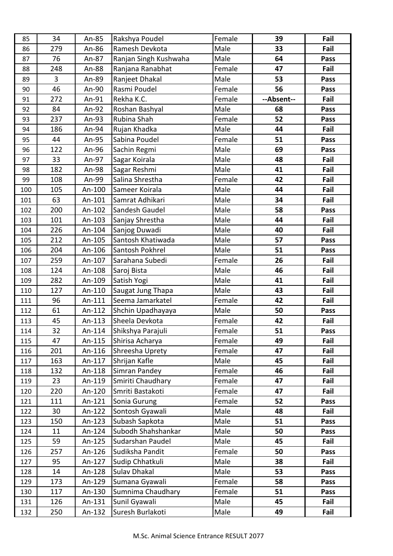| 85  | 34  | An-85  | Rakshya Poudel        | Female | 39         | Fail |
|-----|-----|--------|-----------------------|--------|------------|------|
| 86  | 279 | An-86  | Ramesh Devkota        | Male   | 33         | Fail |
| 87  | 76  | An-87  | Ranjan Singh Kushwaha | Male   | 64         | Pass |
| 88  | 248 | An-88  | Ranjana Ranabhat      | Female | 47         | Fail |
| 89  | 3   | An-89  | Ranjeet Dhakal        | Male   | 53         | Pass |
| 90  | 46  | An-90  | Rasmi Poudel          | Female | 56         | Pass |
| 91  | 272 | An-91  | Rekha K.C.            | Female | --Absent-- | Fail |
| 92  | 84  | An-92  | Roshan Bashyal        | Male   | 68         | Pass |
| 93  | 237 | An-93  | Rubina Shah           | Female | 52         | Pass |
| 94  | 186 | An-94  | Rujan Khadka          | Male   | 44         | Fail |
| 95  | 44  | An-95  | Sabina Poudel         | Female | 51         | Pass |
| 96  | 122 | An-96  | Sachin Regmi          | Male   | 69         | Pass |
| 97  | 33  | An-97  | Sagar Koirala         | Male   | 48         | Fail |
| 98  | 182 | An-98  | Sagar Reshmi          | Male   | 41         | Fail |
| 99  | 108 | An-99  | Salina Shrestha       | Female | 42         | Fail |
| 100 | 105 | An-100 | Sameer Koirala        | Male   | 44         | Fail |
| 101 | 63  | An-101 | Samrat Adhikari       | Male   | 34         | Fail |
| 102 | 200 | An-102 | Sandesh Gaudel        | Male   | 58         | Pass |
| 103 | 101 | An-103 | Sanjay Shrestha       | Male   | 44         | Fail |
| 104 | 226 | An-104 | Sanjog Duwadi         | Male   | 40         | Fail |
| 105 | 212 | An-105 | Santosh Khatiwada     | Male   | 57         | Pass |
| 106 | 204 | An-106 | Santosh Pokhrel       | Male   | 51         | Pass |
| 107 | 259 | An-107 | Sarahana Subedi       | Female | 26         | Fail |
| 108 | 124 | An-108 | Saroj Bista           | Male   | 46         | Fail |
| 109 | 282 | An-109 | Satish Yogi           | Male   | 41         | Fail |
| 110 | 127 | An-110 | Saugat Jung Thapa     | Male   | 43         | Fail |
| 111 | 96  | An-111 | Seema Jamarkatel      | Female | 42         | Fail |
| 112 | 61  | An-112 | Shchin Upadhayaya     | Male   | 50         | Pass |
| 113 | 45  | An-113 | Sheela Devkota        | Female | 42         | Fail |
| 114 | 32  | An-114 | Shikshya Parajuli     | Female | 51         | Pass |
| 115 | 47  | An-115 | Shirisa Acharya       | Female | 49         | Fail |
| 116 | 201 | An-116 | Shreesha Uprety       | Female | 47         | Fail |
| 117 | 163 | An-117 | Shrijan Kafle         | Male   | 45         | Fail |
| 118 | 132 | An-118 | Simran Pandey         | Female | 46         | Fail |
| 119 | 23  | An-119 | Smiriti Chaudhary     | Female | 47         | Fail |
| 120 | 220 | An-120 | Smriti Bastakoti      | Female | 47         | Fail |
| 121 | 111 | An-121 | Sonia Gurung          | Female | 52         | Pass |
| 122 | 30  | An-122 | Sontosh Gyawali       | Male   | 48         | Fail |
| 123 | 150 | An-123 | Subash Sapkota        | Male   | 51         | Pass |
| 124 | 11  | An-124 | Subodh Shahshankar    | Male   | 50         | Pass |
| 125 | 59  | An-125 | Sudarshan Paudel      | Male   | 45         | Fail |
| 126 | 257 | An-126 | Sudiksha Pandit       | Female | 50         | Pass |
| 127 | 95  | An-127 | Sudip Chhatkuli       | Male   | 38         | Fail |
| 128 | 14  | An-128 | <b>Sulav Dhakal</b>   | Male   | 53         | Pass |
| 129 | 173 | An-129 | Sumana Gyawali        | Female | 58         | Pass |
| 130 | 117 | An-130 | Sumnima Chaudhary     | Female | 51         | Pass |
| 131 | 126 | An-131 | Sunil Gyawali         | Male   | 45         | Fail |
| 132 | 250 | An-132 | Suresh Burlakoti      | Male   | 49         | Fail |